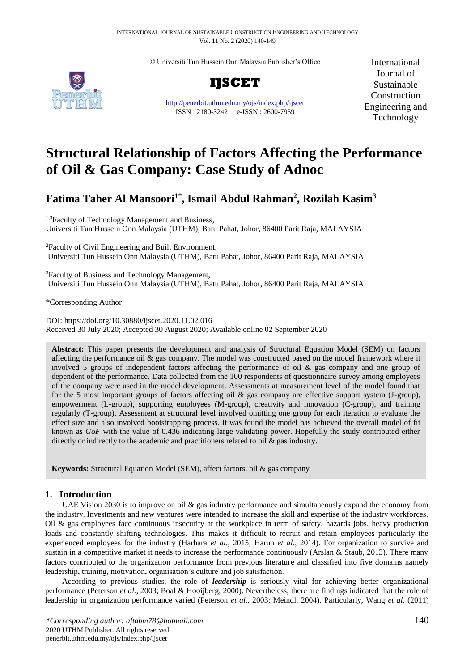© Universiti Tun Hussein Onn Malaysia Publisher's Office



**IJSCET**

<http://penerbit.uthm.edu.my/ojs/index.php/ijscet> ISSN : 2180-3242 e-ISSN : 2600-7959

International Journal of Sustainable Construction Engineering and Technology

# **Structural Relationship of Factors Affecting the Performance of Oil & Gas Company: Case Study of Adnoc**

# **Fatima Taher Al Mansoori1\*, Ismail Abdul Rahman<sup>2</sup> , Rozilah Kasim<sup>3</sup>**

<sup>1,3</sup>Faculty of Technology Management and Business, Universiti Tun Hussein Onn Malaysia (UTHM), Batu Pahat, Johor, 86400 Parit Raja, MALAYSIA

<sup>2</sup>Faculty of Civil Engineering and Built Environment, Universiti Tun Hussein Onn Malaysia (UTHM), Batu Pahat, Johor, 86400 Parit Raja, MALAYSIA

<sup>3</sup>Faculty of Business and Technology Management, Universiti Tun Hussein Onn Malaysia (UTHM), Batu Pahat, Johor, 86400 Parit Raja, MALAYSIA

\*Corresponding Author

DOI: https://doi.org/10.30880/ijscet.2020.11.02.016 Received 30 July 2020; Accepted 30 August 2020; Available online 02 September 2020

**Abstract:** This paper presents the development and analysis of Structural Equation Model (SEM) on factors affecting the performance oil & gas company. The model was constructed based on the model framework where it involved 5 groups of independent factors affecting the performance of oil & gas company and one group of dependent of the performance. Data collected from the 100 respondents of questionnaire survey among employees of the company were used in the model development. Assessments at measurement level of the model found that for the 5 most important groups of factors affecting oil & gas company are effective support system (J-group), empowerment (L-group), supporting employees (M-group), creativity and innovation (C-group), and training regularly (T-group). Assessment at structural level involved omitting one group for each iteration to evaluate the effect size and also involved bootstrapping process. It was found the model has achieved the overall model of fit known as *GoF* with the value of 0.436 indicating large validating power. Hopefully the study contributed either directly or indirectly to the academic and practitioners related to oil  $\&$  gas industry.

**Keywords:** Structural Equation Model (SEM), affect factors, oil & gas company

# **1. Introduction**

UAE Vision 2030 is to improve on oil & gas industry performance and simultaneously expand the economy from the industry. Investments and new ventures were intended to increase the skill and expertise of the industry workforces. Oil  $\&$  gas employees face continuous insecurity at the workplace in term of safety, hazards jobs, heavy production loads and constantly shifting technologies. This makes it difficult to recruit and retain employees particularly the experienced employees for the industry (Harhara *et al.*, 2015; Harun *et al.*, 2014). For organization to survive and sustain in a competitive market it needs to increase the performance continuously (Arslan & Staub, 2013). There many factors contributed to the organization performance from previous literature and classified into five domains namely leadership, training, motivation, organisation's culture and job satisfaction.

According to previous studies, the role of *leadership* is seriously vital for achieving better organizational performance (Peterson *et al.*, 2003; Boal & Hooijberg, 2000). Nevertheless, there are findings indicated that the role of leadership in organization performance varied (Peterson *et al.*, 2003; Meindl, 2004). Particularly, Wang *et al.* (2011)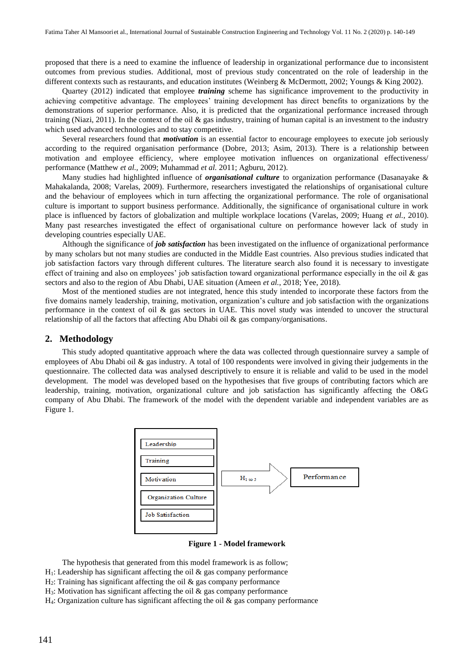proposed that there is a need to examine the influence of leadership in organizational performance due to inconsistent outcomes from previous studies. Additional, most of previous study concentrated on the role of leadership in the different contexts such as restaurants, and education institutes (Weinberg & McDermott, 2002; Youngs & King 2002).

Quartey (2012) indicated that employee *training* scheme has significance improvement to the productivity in achieving competitive advantage. The employees' training development has direct benefits to organizations by the demonstrations of superior performance. Also, it is predicted that the organizational performance increased through training (Niazi, 2011). In the context of the oil  $\&$  gas industry, training of human capital is an investment to the industry which used advanced technologies and to stay competitive.

Several researchers found that *motivation* is an essential factor to encourage employees to execute job seriously according to the required organisation performance (Dobre, 2013; Asim, 2013). There is a relationship between motivation and employee efficiency, where employee motivation influences on organizational effectiveness/ performance (Matthew *et al.,* 2009; Muhammad *et al.* 2011; Agburu, 2012).

Many studies had highlighted influence of *organisational culture* to organization performance (Dasanayake & Mahakalanda, 2008; Varelas, 2009). Furthermore, researchers investigated the relationships of organisational culture and the behaviour of employees which in turn affecting the organizational performance. The role of organisational culture is important to support business performance. Additionally, the significance of organisational culture in work place is influenced by factors of globalization and multiple workplace locations (Varelas, 2009; Huang *et al.*, 2010). Many past researches investigated the effect of organisational culture on performance however lack of study in developing countries especially UAE.

Although the significance of *job satisfaction* has been investigated on the influence of organizational performance by many scholars but not many studies are conducted in the Middle East countries. Also previous studies indicated that job satisfaction factors vary through different cultures. The literature search also found it is necessary to investigate effect of training and also on employees' job satisfaction toward organizational performance especially in the oil & gas sectors and also to the region of Abu Dhabi, UAE situation (Ameen *et al.*, 2018; Yee, 2018).

Most of the mentioned studies are not integrated, hence this study intended to incorporate these factors from the five domains namely leadership, training, motivation, organization's culture and job satisfaction with the organizations performance in the context of oil & gas sectors in UAE. This novel study was intended to uncover the structural relationship of all the factors that affecting Abu Dhabi oil & gas company/organisations.

### **2. Methodology**

This study adopted quantitative approach where the data was collected through questionnaire survey a sample of employees of Abu Dhabi oil & gas industry. A total of 100 respondents were involved in giving their judgements in the questionnaire. The collected data was analysed descriptively to ensure it is reliable and valid to be used in the model development. The model was developed based on the hypothesises that five groups of contributing factors which are leadership, training, motivation, organizational culture and job satisfaction has significantly affecting the O&G company of Abu Dhabi. The framework of the model with the dependent variable and independent variables are as Figure 1.



**Figure 1 - Model framework**

The hypothesis that generated from this model framework is as follow;

- $H<sub>1</sub>$ : Leadership has significant affecting the oil & gas company performance
- $H<sub>2</sub>$ : Training has significant affecting the oil  $\&$  gas company performance
- $H_3$ : Motivation has significant affecting the oil  $\&$  gas company performance

 $H_4$ : Organization culture has significant affecting the oil  $\&$  gas company performance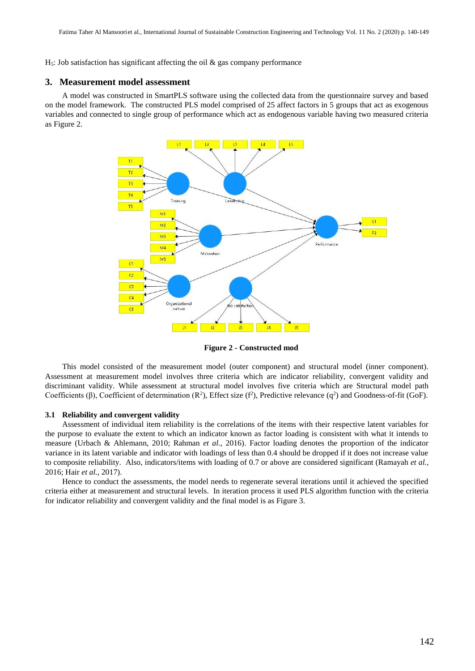$H_5$ : Job satisfaction has significant affecting the oil  $\&$  gas company performance

# **3. Measurement model assessment**

A model was constructed in SmartPLS software using the collected data from the questionnaire survey and based on the model framework. The constructed PLS model comprised of 25 affect factors in 5 groups that act as exogenous variables and connected to single group of performance which act as endogenous variable having two measured criteria as Figure 2.



**Figure 2 - Constructed mod**

This model consisted of the measurement model (outer component) and structural model (inner component). Assessment at measurement model involves three criteria which are indicator reliability, convergent validity and discriminant validity. While assessment at structural model involves five criteria which are Structural model path Coefficients (β), Coefficient of determination  $(R^2)$ , Effect size (f<sup>2</sup>), Predictive relevance (q<sup>2</sup>) and Goodness-of-fit (GoF).

#### **3.1 Reliability and convergent validity**

Assessment of individual item reliability is the correlations of the items with their respective latent variables for the purpose to evaluate the extent to which an indicator known as factor loading is consistent with what it intends to measure (Urbach & Ahlemann, 2010; Rahman *et al.*, 2016). Factor loading denotes the proportion of the indicator variance in its latent variable and indicator with loadings of less than 0.4 should be dropped if it does not increase value to composite reliability. Also, indicators/items with loading of 0.7 or above are considered significant (Ramayah *et al.*, 2016; Hair *et al.*, 2017).

Hence to conduct the assessments, the model needs to regenerate several iterations until it achieved the specified criteria either at measurement and structural levels. In iteration process it used PLS algorithm function with the criteria for indicator reliability and convergent validity and the final model is as Figure 3.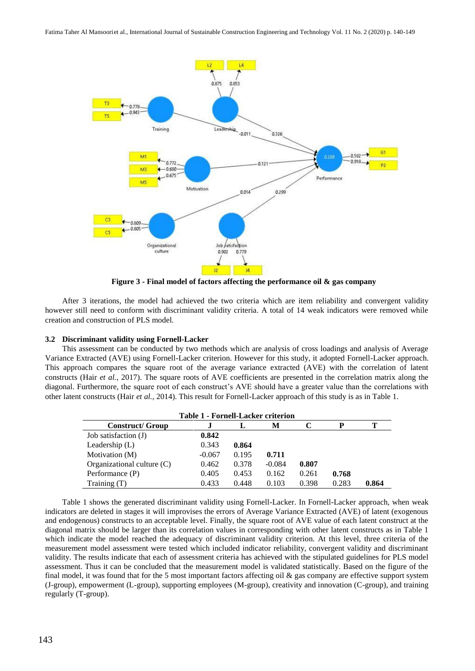

**Figure 3 - Final model of factors affecting the performance oil & gas company**

After 3 iterations, the model had achieved the two criteria which are item reliability and convergent validity however still need to conform with discriminant validity criteria. A total of 14 weak indicators were removed while creation and construction of PLS model.

# **3.2 Discriminant validity using Fornell-Lacker**

This assessment can be conducted by two methods which are analysis of cross loadings and analysis of Average Variance Extracted (AVE) using Fornell-Lacker criterion. However for this study, it adopted Fornell-Lacker approach. This approach compares the square root of the average variance extracted (AVE) with the correlation of latent constructs (Hair *et al.*, 2017). The square roots of AVE coefficients are presented in the correlation matrix along the diagonal. Furthermore, the square root of each construct's AVE should have a greater value than the correlations with other latent constructs (Hair *et al.*, 2014). This result for Fornell-Lacker approach of this study is as in Table 1.

| <b>Table 1 - Fornell-Lacker criterion</b> |          |       |          |       |       |       |  |
|-------------------------------------------|----------|-------|----------|-------|-------|-------|--|
| <b>Construct/ Group</b>                   |          | L     | М        |       | P     |       |  |
| Job satisfaction (J)                      | 0.842    |       |          |       |       |       |  |
| Leadership $(L)$                          | 0.343    | 0.864 |          |       |       |       |  |
| Motivation (M)                            | $-0.067$ | 0.195 | 0.711    |       |       |       |  |
| Organizational culture $(C)$              | 0.462    | 0.378 | $-0.084$ | 0.807 |       |       |  |
| Performance (P)                           | 0.405    | 0.453 | 0.162    | 0.261 | 0.768 |       |  |
| Training $(T)$                            | 0.433    | 0.448 | 0.103    | 0.398 | 0.283 | 0.864 |  |

Table 1 shows the generated discriminant validity using Fornell-Lacker. In Fornell-Lacker approach, when weak indicators are deleted in stages it will improvises the errors of Average Variance Extracted (AVE) of latent (exogenous and endogenous) constructs to an acceptable level. Finally, the square root of AVE value of each latent construct at the diagonal matrix should be larger than its correlation values in corresponding with other latent constructs as in Table 1 which indicate the model reached the adequacy of discriminant validity criterion. At this level, three criteria of the measurement model assessment were tested which included indicator reliability, convergent validity and discriminant validity. The results indicate that each of assessment criteria has achieved with the stipulated guidelines for PLS model assessment. Thus it can be concluded that the measurement model is validated statistically. Based on the figure of the final model, it was found that for the 5 most important factors affecting oil & gas company are effective support system (J-group), empowerment (L-group), supporting employees (M-group), creativity and innovation (C-group), and training regularly (T-group).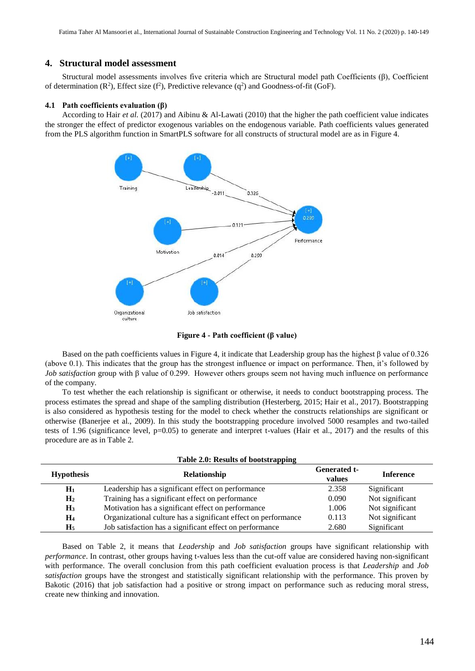# **4. Structural model assessment**

Structural model assessments involves five criteria which are Structural model path Coefficients (β), Coefficient of determination ( $\mathbb{R}^2$ ), Effect size ( $f^2$ ), Predictive relevance ( $q^2$ ) and Goodness-of-fit (GoF).

# **4.1 Path coefficients evaluation (β)**

According to Hair *et al.* (2017) and Aibinu & Al-Lawati (2010) that the higher the path coefficient value indicates the stronger the effect of predictor exogenous variables on the endogenous variable. Path coefficients values generated from the PLS algorithm function in SmartPLS software for all constructs of structural model are as in Figure 4.



**Figure 4 - Path coefficient (β value)**

Based on the path coefficients values in Figure 4, it indicate that Leadership group has the highest β value of 0.326 (above 0.1). This indicates that the group has the strongest influence or impact on performance. Then, it's followed by *Job satisfaction* group with β value of 0.299. However others groups seem not having much influence on performance of the company.

To test whether the each relationship is significant or otherwise, it needs to conduct bootstrapping process. The process estimates the spread and shape of the sampling distribution (Hesterberg, 2015; Hair et al., 2017). Bootstrapping is also considered as hypothesis testing for the model to check whether the constructs relationships are significant or otherwise (Banerjee et al., 2009). In this study the bootstrapping procedure involved 5000 resamples and two-tailed tests of 1.96 (significance level, p=0.05) to generate and interpret t-values (Hair et al., 2017) and the results of this procedure are as in Table 2.

**Table 2.0: Results of bootstrapping**

| <b>Hypothesis</b> | $\cdots$<br>Relationship                                       | <b>Generated t-</b><br>values | <b>Inference</b> |
|-------------------|----------------------------------------------------------------|-------------------------------|------------------|
| $H_1$             | Leadership has a significant effect on performance             | 2.358                         | Significant      |
| $\mathbf{H}_{2}$  | Training has a significant effect on performance               | 0.090                         | Not significant  |
| $H_3$             | Motivation has a significant effect on performance             | 1.006                         | Not significant  |
| H4                | Organizational culture has a significant effect on performance | 0.113                         | Not significant  |
| H <sub>5</sub>    | Job satisfaction has a significant effect on performance       | 2.680                         | Significant      |

Based on Table 2, it means that *Leadership* and *Job satisfaction* groups have significant relationship with *performance*. In contrast, other groups having t-values less than the cut-off value are considered having non-significant with performance. The overall conclusion from this path coefficient evaluation process is that *Leadership* and *Job satisfaction* groups have the strongest and statistically significant relationship with the performance. This proven by Bakotic (2016) that job satisfaction had a positive or strong impact on performance such as reducing moral stress, create new thinking and innovation.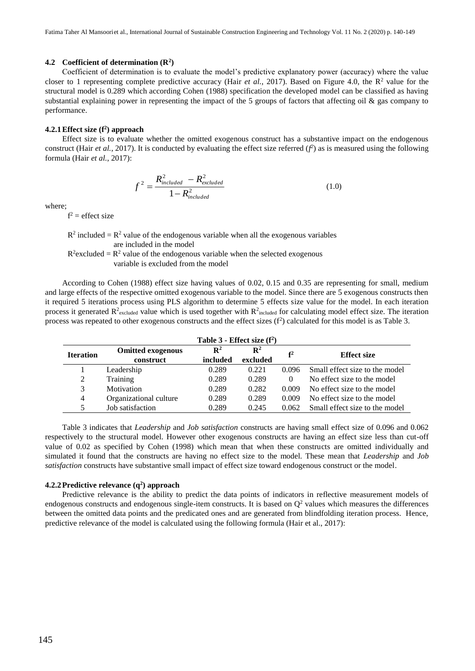# **4.2 Coefficient of determination (R<sup>2</sup> )**

Coefficient of determination is to evaluate the model's predictive explanatory power (accuracy) where the value closer to 1 representing complete predictive accuracy (Hair *et al.*, 2017). Based on Figure 4.0, the  $\mathbb{R}^2$  value for the structural model is 0.289 which according Cohen (1988) specification the developed model can be classified as having substantial explaining power in representing the impact of the 5 groups of factors that affecting oil & gas company to performance.

# **4.2.1Effect size (f<sup>2</sup> ) approach**

Effect size is to evaluate whether the omitted exogenous construct has a substantive impact on the endogenous construct (Hair *et al.*, 2017). It is conducted by evaluating the effect size referred  $(f^2)$  as is measured using the following formula (Hair *et al.*, 2017):

$$
f^2 = \frac{R_{included}^2 - R_{excluded}^2}{1 - R_{included}^2}
$$
 (1.0)

where;

 $f^2$  = effect size

 $R^2$  included =  $R^2$  value of the endogenous variable when all the exogenous variables are included in the model

 $R^2$  excluded =  $R^2$  value of the endogenous variable when the selected exogenous variable is excluded from the model

According to Cohen (1988) effect size having values of 0.02, 0.15 and 0.35 are representing for small, medium and large effects of the respective omitted exogenous variable to the model. Since there are 5 exogenous constructs then it required 5 iterations process using PLS algorithm to determine 5 effects size value for the model. In each iteration process it generated  $R^2$ <sub>excluded</sub> value which is used together with  $R^2$ <sub>included</sub> for calculating model effect size. The iteration process was repeated to other exogenous constructs and the effect sizes  $(f^2)$  calculated for this model is as Table 3.

| Table $3$ - Effect size $(f^2)$ |                          |                |                |                |                                |
|---------------------------------|--------------------------|----------------|----------------|----------------|--------------------------------|
| <b>Iteration</b>                | <b>Omitted exogenous</b> | $\mathbf{R}^2$ | $\mathbf{R}^2$ | f <sup>2</sup> | <b>Effect size</b>             |
|                                 | construct                | included       | excluded       |                |                                |
|                                 | Leadership               | 0.289          | 0.221          | 0.096          | Small effect size to the model |
| 2                               | Training                 | 0.289          | 0.289          | $\Omega$       | No effect size to the model    |
| 3                               | Motivation               | 0.289          | 0.282          | 0.009          | No effect size to the model    |
| 4                               | Organizational culture   | 0.289          | 0.289          | 0.009          | No effect size to the model    |
| 5                               | Job satisfaction         | 0.289          | 0.245          | 0.062          | Small effect size to the model |

Table 3 indicates that *Leadership* and *Job satisfaction* constructs are having small effect size of 0.096 and 0.062 respectively to the structural model. However other exogenous constructs are having an effect size less than cut-off value of 0.02 as specified by Cohen (1998) which mean that when these constructs are omitted individually and simulated it found that the constructs are having no effect size to the model. These mean that *Leadership* and *Job satisfaction* constructs have substantive small impact of effect size toward endogenous construct or the model.

# **4.2.2Predictive relevance (q<sup>2</sup> ) approach**

Predictive relevance is the ability to predict the data points of indicators in reflective measurement models of endogenous constructs and endogenous single-item constructs. It is based on  $Q<sup>2</sup>$  values which measures the differences between the omitted data points and the predicated ones and are generated from blindfolding iteration process. Hence, predictive relevance of the model is calculated using the following formula (Hair et al., 2017):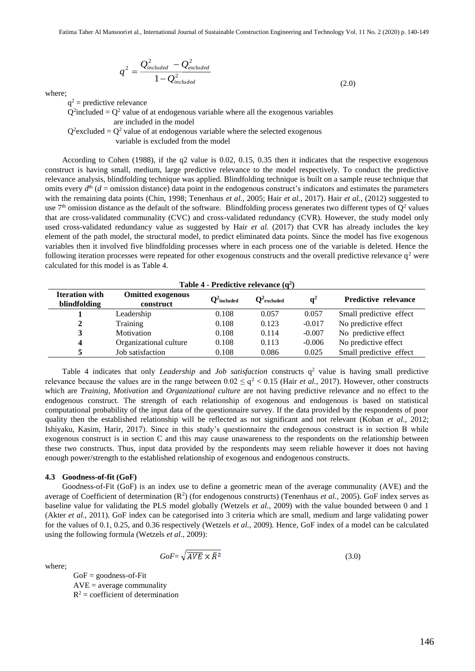$$
q^2 = \frac{Q_{included}^2 - Q_{excluded}^2}{1 - Q_{included}^2}
$$
\n(2.0)

where;

 $q^2$  = predictive relevance

 $Q^2$ included =  $Q^2$  value of at endogenous variable where all the exogenous variables

are included in the model

 $Q^2$  excluded =  $Q^2$  value of at endogenous variable where the selected exogenous

variable is excluded from the model

According to Cohen (1988), if the q2 value is 0.02, 0.15, 0.35 then it indicates that the respective exogenous construct is having small, medium, large predictive relevance to the model respectively. To conduct the predictive relevance analysis, blindfolding technique was applied. Blindfolding technique is built on a sample reuse technique that omits every  $d<sup>th</sup>$  ( $d$  = omission distance) data point in the endogenous construct's indicators and estimates the parameters with the remaining data points (Chin, 1998; Tenenhaus *et al.*, 2005; Hair *et al.*, 2017). Hair *et al.*, (2012) suggested to use  $7<sup>th</sup>$  omission distance as the default of the software. Blindfolding process generates two different types of  $Q<sup>2</sup>$  values that are cross-validated communality (CVC) and cross-validated redundancy (CVR). However, the study model only used cross-validated redundancy value as suggested by Hair *et al.* (2017) that CVR has already includes the key element of the path model, the structural model, to predict eliminated data points. Since the model has five exogenous variables then it involved five blindfolding processes where in each process one of the variable is deleted. Hence the following iteration processes were repeated for other exogenous constructs and the overall predictive relevance  $q<sup>2</sup>$  were calculated for this model is as Table 4.

| Table 4 - Predictive relevance $(q^2)$ |                                       |                |                |          |                             |
|----------------------------------------|---------------------------------------|----------------|----------------|----------|-----------------------------|
| <b>Iteration with</b><br>blindfolding  | <b>Omitted exogenous</b><br>construct | $Q^2$ included | $Q^2$ excluded | $q^2$    | <b>Predictive relevance</b> |
|                                        | Leadership                            | 0.108          | 0.057          | 0.057    | Small predictive effect     |
| 2                                      | Training                              | 0.108          | 0.123          | $-0.017$ | No predictive effect        |
| 3                                      | Motivation                            | 0.108          | 0.114          | $-0.007$ | No predictive effect        |
| 4                                      | Organizational culture                | 0.108          | 0.113          | $-0.006$ | No predictive effect        |
|                                        | Job satisfaction                      | 0.108          | 0.086          | 0.025    | Small predictive effect     |

Table 4 indicates that only *Leadership* and *Job satisfaction* constructs  $q^2$  value is having small predictive relevance because the values are in the range between  $0.02 \leq q^2 < 0.15$  (Hair *et al.*, 2017). However, other constructs which are *Training*, *Motivation* and *Organizational culture* are not having predictive relevance and no effect to the endogenous construct. The strength of each relationship of exogenous and endogenous is based on statistical computational probability of the input data of the questionnaire survey. If the data provided by the respondents of poor quality then the established relationship will be reflected as not significant and not relevant (Koban *et al.*, 2012; Ishiyaku, Kasim, Harir, 2017). Since in this study's questionnaire the endogenous construct is in section B while exogenous construct is in section C and this may cause unawareness to the respondents on the relationship between these two constructs. Thus, input data provided by the respondents may seem reliable however it does not having enough power/strength to the established relationship of exogenous and endogenous constructs.

#### **4.3 Goodness-of-fit (GoF)**

Goodness-of-Fit (GoF) is an index use to define a geometric mean of the average communality (AVE) and the average of Coefficient of determination  $(R^2)$  (for endogenous constructs) (Tenenhaus *et al.*, 2005). GoF index serves as baseline value for validating the PLS model globally (Wetzels *et al.*, 2009) with the value bounded between 0 and 1 (Akter *et al.*, 2011). GoF index can be categorised into 3 criteria which are small, medium and large validating power for the values of 0.1, 0.25, and 0.36 respectively (Wetzels *et al.*, 2009). Hence, GoF index of a model can be calculated using the following formula (Wetzels *et al.*, 2009):

where;

$$
GoF = \sqrt{AVE} \times \bar{R}^2 \tag{3.0}
$$

 $GoF = goodness-of-Fit$  $AVE = average communality$  $R^2$  = coefficient of determination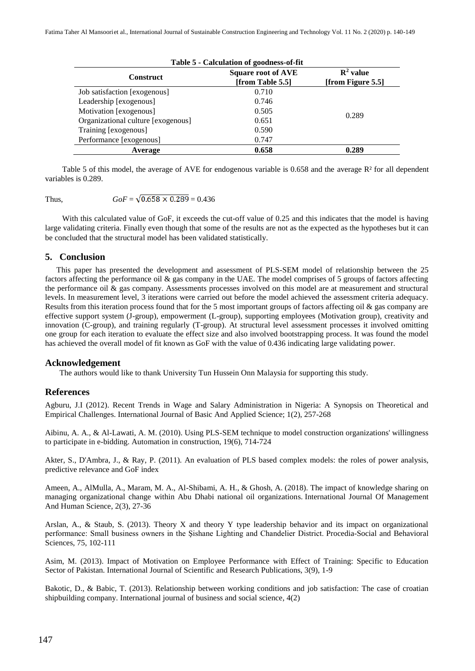| Table 5 - Calculation of goodness-of-fit |                                               |                                           |  |  |
|------------------------------------------|-----------------------------------------------|-------------------------------------------|--|--|
| <b>Construct</b>                         | <b>Square root of AVE</b><br>[from Table 5.5] | $\mathbf{R}^2$ value<br>[from Figure 5.5] |  |  |
| Job satisfaction [exogenous]             | 0.710                                         |                                           |  |  |
| Leadership [exogenous]                   | 0.746                                         |                                           |  |  |
| Motivation [exogenous]                   | 0.505                                         |                                           |  |  |
| Organizational culture [exogenous]       | 0.651                                         | 0.289                                     |  |  |
| Training [exogenous]                     | 0.590                                         |                                           |  |  |
| Performance [exogenous]                  | 0.747                                         |                                           |  |  |
| Average                                  | 0.658                                         | 0.289                                     |  |  |

Table 5 of this model, the average of AVE for endogenous variable is 0.658 and the average  $R<sup>2</sup>$  for all dependent variables is 0.289.

Thus, 
$$
GoF = \sqrt{0.658 \times 0.289} = 0.436
$$

With this calculated value of GoF, it exceeds the cut-off value of 0.25 and this indicates that the model is having large validating criteria. Finally even though that some of the results are not as the expected as the hypotheses but it can be concluded that the structural model has been validated statistically.

# **5. Conclusion**

This paper has presented the development and assessment of PLS-SEM model of relationship between the 25 factors affecting the performance oil & gas company in the UAE. The model comprises of 5 groups of factors affecting the performance oil & gas company. Assessments processes involved on this model are at measurement and structural levels. In measurement level, 3 iterations were carried out before the model achieved the assessment criteria adequacy. Results from this iteration process found that for the 5 most important groups of factors affecting oil & gas company are effective support system (J-group), empowerment (L-group), supporting employees (Motivation group), creativity and innovation (C-group), and training regularly (T-group). At structural level assessment processes it involved omitting one group for each iteration to evaluate the effect size and also involved bootstrapping process. It was found the model has achieved the overall model of fit known as GoF with the value of 0.436 indicating large validating power.

# **Acknowledgement**

The authors would like to thank University Tun Hussein Onn Malaysia for supporting this study.

# **References**

Agburu, J.I (2012). Recent Trends in Wage and Salary Administration in Nigeria: A Synopsis on Theoretical and Empirical Challenges. International Journal of Basic And Applied Science; 1(2), 257-268

Aibinu, A. A., & Al-Lawati, A. M. (2010). Using PLS-SEM technique to model construction organizations' willingness to participate in e-bidding. Automation in construction, 19(6), 714-724

Akter, S., D'Ambra, J., & Ray, P. (2011). An evaluation of PLS based complex models: the roles of power analysis, predictive relevance and GoF index

Ameen, A., AlMulla, A., Maram, M. A., Al-Shibami, A. H., & Ghosh, A. (2018). The impact of knowledge sharing on managing organizational change within Abu Dhabi national oil organizations. International Journal Of Management And Human Science, 2(3), 27-36

Arslan, A., & Staub, S. (2013). Theory X and theory Y type leadership behavior and its impact on organizational performance: Small business owners in the Şishane Lighting and Chandelier District. Procedia-Social and Behavioral Sciences, 75, 102-111

Asim, M. (2013). Impact of Motivation on Employee Performance with Effect of Training: Specific to Education Sector of Pakistan. International Journal of Scientific and Research Publications, 3(9), 1-9

Bakotic, D., & Babic, T. (2013). Relationship between working conditions and job satisfaction: The case of croatian shipbuilding company. International journal of business and social science, 4(2)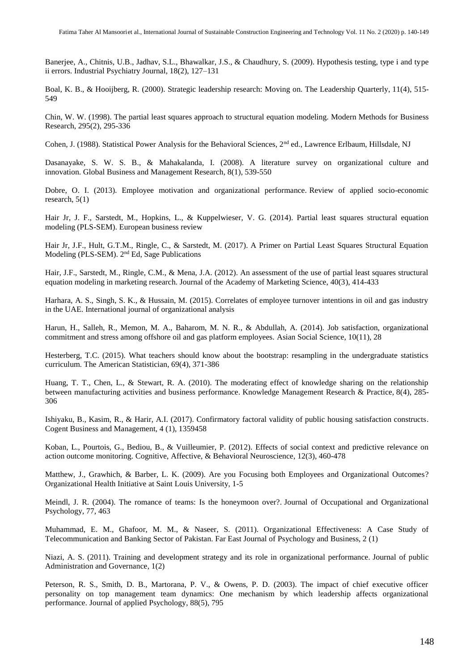Banerjee, A., Chitnis, U.B., Jadhav, S.L., Bhawalkar, J.S., & Chaudhury, S. (2009). Hypothesis testing, type i and type ii errors. Industrial Psychiatry Journal, 18(2), 127–131

Boal, K. B., & Hooijberg, R. (2000). Strategic leadership research: Moving on. The Leadership Quarterly, 11(4), 515- 549

Chin, W. W. (1998). The partial least squares approach to structural equation modeling. Modern Methods for Business Research, 295(2), 295-336

Cohen, J. (1988). Statistical Power Analysis for the Behavioral Sciences,  $2<sup>nd</sup>$  ed., Lawrence Erlbaum, Hillsdale, NJ

Dasanayake, S. W. S. B., & Mahakalanda, I. (2008). A literature survey on organizational culture and innovation. Global Business and Management Research, 8(1), 539-550

Dobre, O. I. (2013). Employee motivation and organizational performance. Review of applied socio-economic research, 5(1)

Hair Jr, J. F., Sarstedt, M., Hopkins, L., & Kuppelwieser, V. G. (2014). Partial least squares structural equation modeling (PLS-SEM). European business review

Hair Jr, J.F., Hult, G.T.M., Ringle, C., & Sarstedt, M. (2017). A Primer on Partial Least Squares Structural Equation Modeling (PLS-SEM). 2nd Ed, Sage Publications

Hair, J.F., Sarstedt, M., Ringle, C.M., & Mena, J.A. (2012). An assessment of the use of partial least squares structural equation modeling in marketing research. Journal of the Academy of Marketing Science, 40(3), 414-433

Harhara, A. S., Singh, S. K., & Hussain, M. (2015). Correlates of employee turnover intentions in oil and gas industry in the UAE. International journal of organizational analysis

Harun, H., Salleh, R., Memon, M. A., Baharom, M. N. R., & Abdullah, A. (2014). Job satisfaction, organizational commitment and stress among offshore oil and gas platform employees. Asian Social Science, 10(11), 28

Hesterberg, T.C. (2015). What teachers should know about the bootstrap: resampling in the undergraduate statistics curriculum. The American Statistician, 69(4), 371-386

Huang, T. T., Chen, L., & Stewart, R. A. (2010). The moderating effect of knowledge sharing on the relationship between manufacturing activities and business performance. Knowledge Management Research & Practice, 8(4), 285- 306

Ishiyaku, B., Kasim, R., & Harir, A.I. (2017). Confirmatory factoral validity of public housing satisfaction constructs. Cogent Business and Management, 4 (1), 1359458

Koban, L., Pourtois, G., Bediou, B., & Vuilleumier, P. (2012). Effects of social context and predictive relevance on action outcome monitoring. Cognitive, Affective, & Behavioral Neuroscience, 12(3), 460-478

Matthew, J., Grawhich, & Barber, L. K. (2009). Are you Focusing both Employees and Organizational Outcomes? Organizational Health Initiative at Saint Louis University, 1-5

Meindl, J. R. (2004). The romance of teams: Is the honeymoon over?. Journal of Occupational and Organizational Psychology, 77, 463

Muhammad, E. M., Ghafoor, M. M., & Naseer, S. (2011). Organizational Effectiveness: A Case Study of Telecommunication and Banking Sector of Pakistan. Far East Journal of Psychology and Business, 2 (1)

Niazi, A. S. (2011). Training and development strategy and its role in organizational performance. Journal of public Administration and Governance, 1(2)

Peterson, R. S., Smith, D. B., Martorana, P. V., & Owens, P. D. (2003). The impact of chief executive officer personality on top management team dynamics: One mechanism by which leadership affects organizational performance. Journal of applied Psychology, 88(5), 795